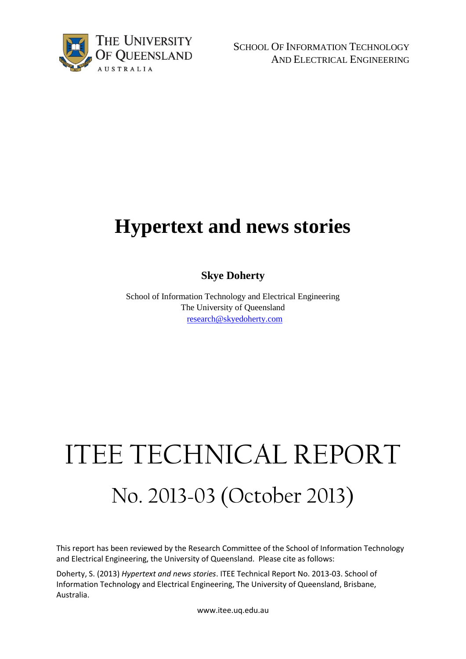

SCHOOL OF INFORMATION TECHNOLOGY AND ELECTRICAL ENGINEERING

## **Hypertext and news stories**

**Skye Doherty**

School of Information Technology and Electrical Engineering The University of Queensland [research@skyedoherty.com](mailto:w.jayawardene@uq.edu.au)

# ITEE TECHNICAL REPORT No. 2013-03 (October 2013)

This report has been reviewed by the Research Committee of the School of Information Technology and Electrical Engineering, the University of Queensland. Please cite as follows:

Doherty, S. (2013) *Hypertext and news stories*. ITEE Technical Report No. 2013-03. School of Information Technology and Electrical Engineering, The University of Queensland, Brisbane, Australia.

www.itee.uq.edu.au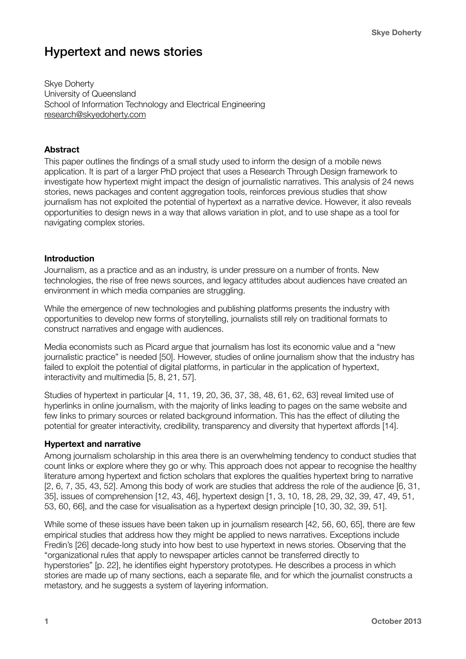### Hypertext and news stories

Skye Doherty University of Queensland School of Information Technology and Electrical Engineering [research@skyedoherty.com](mailto:research@skyedoherty.com)

#### **Abstract**

This paper outlines the findings of a small study used to inform the design of a mobile news application. It is part of a larger PhD project that uses a Research Through Design framework to investigate how hypertext might impact the design of journalistic narratives. This analysis of 24 news stories, news packages and content aggregation tools, reinforces previous studies that show journalism has not exploited the potential of hypertext as a narrative device. However, it also reveals opportunities to design news in a way that allows variation in plot, and to use shape as a tool for navigating complex stories.

#### **Introduction**

Journalism, as a practice and as an industry, is under pressure on a number of fronts. New technologies, the rise of free news sources, and legacy attitudes about audiences have created an environment in which media companies are struggling.

While the emergence of new technologies and publishing platforms presents the industry with opportunities to develop new forms of storytelling, journalists still rely on traditional formats to construct narratives and engage with audiences.

Media economists such as Picard argue that journalism has lost its economic value and a "new journalistic practice" is needed [50]. However, studies of online journalism show that the industry has failed to exploit the potential of digital platforms, in particular in the application of hypertext, interactivity and multimedia [5, 8, 21, 57].

Studies of hypertext in particular [4, 11, 19, 20, 36, 37, 38, 48, 61, 62, 63] reveal limited use of hyperlinks in online journalism, with the majority of links leading to pages on the same website and few links to primary sources or related background information. This has the effect of diluting the potential for greater interactivity, credibility, transparency and diversity that hypertext affords [14].

#### **Hypertext and narrative**

Among journalism scholarship in this area there is an overwhelming tendency to conduct studies that count links or explore where they go or why. This approach does not appear to recognise the healthy literature among hypertext and fiction scholars that explores the qualities hypertext bring to narrative [2, 6, 7, 35, 43, 52]. Among this body of work are studies that address the role of the audience [6, 31, 35], issues of comprehension [12, 43, 46], hypertext design [1, 3, 10, 18, 28, 29, 32, 39, 47, 49, 51, 53, 60, 66], and the case for visualisation as a hypertext design principle [10, 30, 32, 39, 51].

While some of these issues have been taken up in journalism research [42, 56, 60, 65], there are few empirical studies that address how they might be applied to news narratives. Exceptions include Fredin's [26] decade-long study into how best to use hypertext in news stories. Observing that the "organizational rules that apply to newspaper articles cannot be transferred directly to hyperstories" [p. 22], he identifies eight hyperstory prototypes. He describes a process in which stories are made up of many sections, each a separate file, and for which the journalist constructs a metastory, and he suggests a system of layering information.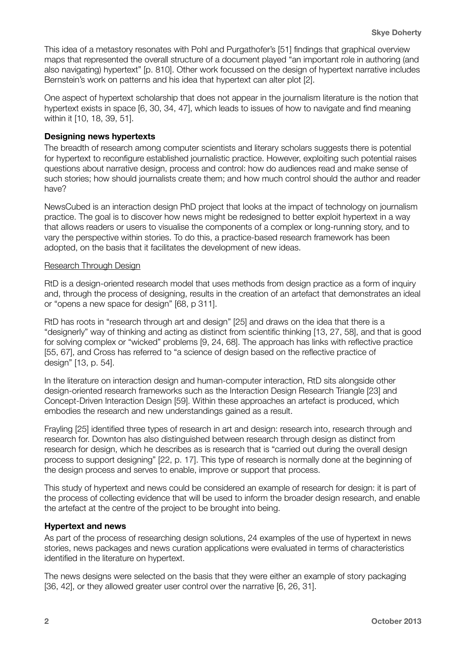This idea of a metastory resonates with Pohl and Purgathofer's [51] findings that graphical overview maps that represented the overall structure of a document played "an important role in authoring (and also navigating) hypertext" [p. 810]. Other work focussed on the design of hypertext narrative includes Bernstein's work on patterns and his idea that hypertext can alter plot [2].

One aspect of hypertext scholarship that does not appear in the journalism literature is the notion that hypertext exists in space [6, 30, 34, 47], which leads to issues of how to navigate and find meaning within it [10, 18, 39, 51].

#### **Designing news hypertexts**

The breadth of research among computer scientists and literary scholars suggests there is potential for hypertext to reconfigure established journalistic practice. However, exploiting such potential raises questions about narrative design, process and control: how do audiences read and make sense of such stories; how should journalists create them; and how much control should the author and reader have?

NewsCubed is an interaction design PhD project that looks at the impact of technology on journalism practice. The goal is to discover how news might be redesigned to better exploit hypertext in a way that allows readers or users to visualise the components of a complex or long-running story, and to vary the perspective within stories. To do this, a practice-based research framework has been adopted, on the basis that it facilitates the development of new ideas.

#### Research Through Design

RtD is a design-oriented research model that uses methods from design practice as a form of inquiry and, through the process of designing, results in the creation of an artefact that demonstrates an ideal or "opens a new space for design" [68, p 311].

RtD has roots in "research through art and design" [25] and draws on the idea that there is a "designerly" way of thinking and acting as distinct from scientific thinking [13, 27, 58], and that is good for solving complex or "wicked" problems [9, 24, 68]. The approach has links with reflective practice [55, 67], and Cross has referred to "a science of design based on the reflective practice of design" [13, p. 54].

In the literature on interaction design and human-computer interaction, RtD sits alongside other design-oriented research frameworks such as the Interaction Design Research Triangle [23] and Concept-Driven Interaction Design [59]. Within these approaches an artefact is produced, which embodies the research and new understandings gained as a result.

Frayling [25] identified three types of research in art and design: research into, research through and research for. Downton has also distinguished between research through design as distinct from research for design, which he describes as is research that is "carried out during the overall design process to support designing" [22, p. 17]. This type of research is normally done at the beginning of the design process and serves to enable, improve or support that process.

This study of hypertext and news could be considered an example of research for design: it is part of the process of collecting evidence that will be used to inform the broader design research, and enable the artefact at the centre of the project to be brought into being.

#### **Hypertext and news**

As part of the process of researching design solutions, 24 examples of the use of hypertext in news stories, news packages and news curation applications were evaluated in terms of characteristics identified in the literature on hypertext.

The news designs were selected on the basis that they were either an example of story packaging [36, 42], or they allowed greater user control over the narrative [6, 26, 31].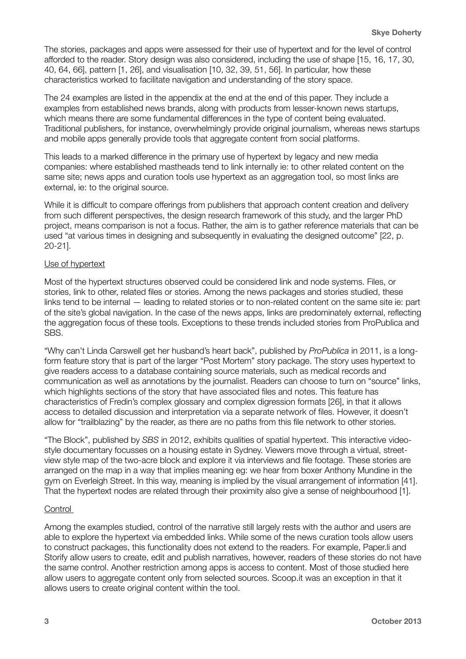The stories, packages and apps were assessed for their use of hypertext and for the level of control afforded to the reader. Story design was also considered, including the use of shape [15, 16, 17, 30, 40, 64, 66], pattern [1, 26], and visualisation [10, 32, 39, 51, 56]. In particular, how these characteristics worked to facilitate navigation and understanding of the story space.

The 24 examples are listed in the appendix at the end at the end of this paper. They include a examples from established news brands, along with products from lesser-known news startups, which means there are some fundamental differences in the type of content being evaluated. Traditional publishers, for instance, overwhelmingly provide original journalism, whereas news startups and mobile apps generally provide tools that aggregate content from social platforms.

This leads to a marked difference in the primary use of hypertext by legacy and new media companies: where established mastheads tend to link internally ie: to other related content on the same site; news apps and curation tools use hypertext as an aggregation tool, so most links are external, ie: to the original source.

While it is difficult to compare offerings from publishers that approach content creation and delivery from such different perspectives, the design research framework of this study, and the larger PhD project, means comparison is not a focus. Rather, the aim is to gather reference materials that can be used "at various times in designing and subsequently in evaluating the designed outcome" [22, p. 20-21].

#### Use of hypertext

Most of the hypertext structures observed could be considered link and node systems. Files, or stories, link to other, related files or stories. Among the news packages and stories studied, these links tend to be internal — leading to related stories or to non-related content on the same site ie: part of the site's global navigation. In the case of the news apps, links are predominately external, reflecting the aggregation focus of these tools. Exceptions to these trends included stories from ProPublica and SBS.

"Why can't Linda Carswell get her husband's heart back", published by *ProPublica* in 2011, is a longform feature story that is part of the larger "Post Mortem" story package. The story uses hypertext to give readers access to a database containing source materials, such as medical records and communication as well as annotations by the journalist. Readers can choose to turn on "source" links, which highlights sections of the story that have associated files and notes. This feature has characteristics of Fredin's complex glossary and complex digression formats [26], in that it allows access to detailed discussion and interpretation via a separate network of files. However, it doesn't allow for "trailblazing" by the reader, as there are no paths from this file network to other stories.

"The Block", published by *SBS* in 2012, exhibits qualities of spatial hypertext. This interactive videostyle documentary focusses on a housing estate in Sydney. Viewers move through a virtual, streetview style map of the two-acre block and explore it via interviews and file footage. These stories are arranged on the map in a way that implies meaning eg: we hear from boxer Anthony Mundine in the gym on Everleigh Street. In this way, meaning is implied by the visual arrangement of information [41]. That the hypertext nodes are related through their proximity also give a sense of neighbourhood [1].

#### **Control**

Among the examples studied, control of the narrative still largely rests with the author and users are able to explore the hypertext via embedded links. While some of the news curation tools allow users to construct packages, this functionality does not extend to the readers. For example, Paper.li and Storify allow users to create, edit and publish narratives, however, readers of these stories do not have the same control. Another restriction among apps is access to content. Most of those studied here allow users to aggregate content only from selected sources. Scoop.it was an exception in that it allows users to create original content within the tool.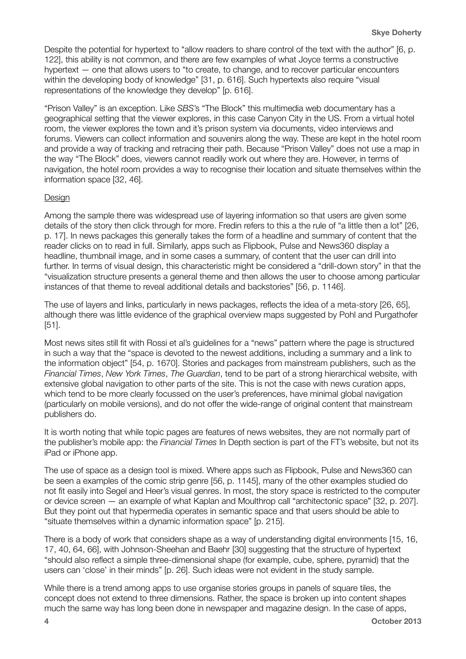Despite the potential for hypertext to "allow readers to share control of the text with the author" [6, p. 122], this ability is not common, and there are few examples of what Joyce terms a constructive hypertext — one that allows users to "to create, to change, and to recover particular encounters within the developing body of knowledge" [31, p. 616]. Such hypertexts also require "visual representations of the knowledge they develop" [p. 616].

"Prison Valley" is an exception. Like *SBS*'s "The Block" this multimedia web documentary has a geographical setting that the viewer explores, in this case Canyon City in the US. From a virtual hotel room, the viewer explores the town and it's prison system via documents, video interviews and forums. Viewers can collect information and souvenirs along the way. These are kept in the hotel room and provide a way of tracking and retracing their path. Because "Prison Valley" does not use a map in the way "The Block" does, viewers cannot readily work out where they are. However, in terms of navigation, the hotel room provides a way to recognise their location and situate themselves within the information space [32, 46].

#### Design

Among the sample there was widespread use of layering information so that users are given some details of the story then click through for more. Fredin refers to this a the rule of "a little then a lot" [26, p. 17]. In news packages this generally takes the form of a headline and summary of content that the reader clicks on to read in full. Similarly, apps such as Flipbook, Pulse and News360 display a headline, thumbnail image, and in some cases a summary, of content that the user can drill into further. In terms of visual design, this characteristic might be considered a "drill-down story" in that the "visualization structure presents a general theme and then allows the user to choose among particular instances of that theme to reveal additional details and backstories" [56, p. 1146].

The use of layers and links, particularly in news packages, reflects the idea of a meta-story [26, 65], although there was little evidence of the graphical overview maps suggested by Pohl and Purgathofer [51].

Most news sites still fit with Rossi et al's guidelines for a "news" pattern where the page is structured in such a way that the "space is devoted to the newest additions, including a summary and a link to the information object" [54, p. 1670]. Stories and packages from mainstream publishers, such as the *Financial Times*, *New York Times*, *The Guardian*, tend to be part of a strong hierarchical website, with extensive global navigation to other parts of the site. This is not the case with news curation apps, which tend to be more clearly focussed on the user's preferences, have minimal global navigation (particularly on mobile versions), and do not offer the wide-range of original content that mainstream publishers do.

It is worth noting that while topic pages are features of news websites, they are not normally part of the publisher's mobile app: the *Financial Times* In Depth section is part of the FT's website, but not its iPad or iPhone app.

The use of space as a design tool is mixed. Where apps such as Flipbook, Pulse and News360 can be seen a examples of the comic strip genre [56, p. 1145], many of the other examples studied do not fit easily into Segel and Heer's visual genres. In most, the story space is restricted to the computer or device screen — an example of what Kaplan and Moulthrop call "architectonic space" [32, p. 207]. But they point out that hypermedia operates in semantic space and that users should be able to "situate themselves within a dynamic information space" [p. 215].

There is a body of work that considers shape as a way of understanding digital environments [15, 16, 17, 40, 64, 66], with Johnson-Sheehan and Baehr [30] suggesting that the structure of hypertext "should also reflect a simple three-dimensional shape (for example, cube, sphere, pyramid) that the users can 'close' in their minds" [p. 26]. Such ideas were not evident in the study sample.

While there is a trend among apps to use organise stories groups in panels of square tiles, the concept does not extend to three dimensions. Rather, the space is broken up into content shapes much the same way has long been done in newspaper and magazine design. In the case of apps,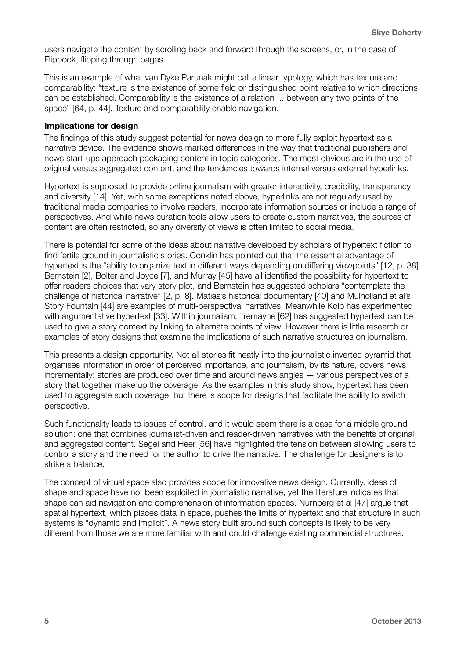users navigate the content by scrolling back and forward through the screens, or, in the case of Flipbook, flipping through pages.

This is an example of what van Dyke Parunak might call a linear typology, which has texture and comparability: "texture is the existence of some field or distinguished point relative to which directions can be established. Comparability is the existence of a relation ... between any two points of the space" [64, p. 44]. Texture and comparability enable navigation.

#### **Implications for design**

The findings of this study suggest potential for news design to more fully exploit hypertext as a narrative device. The evidence shows marked differences in the way that traditional publishers and news start-ups approach packaging content in topic categories. The most obvious are in the use of original versus aggregated content, and the tendencies towards internal versus external hyperlinks.

Hypertext is supposed to provide online journalism with greater interactivity, credibility, transparency and diversity [14]. Yet, with some exceptions noted above, hyperlinks are not regularly used by traditional media companies to involve readers, incorporate information sources or include a range of perspectives. And while news curation tools allow users to create custom narratives, the sources of content are often restricted, so any diversity of views is often limited to social media.

There is potential for some of the ideas about narrative developed by scholars of hypertext fiction to find fertile ground in journalistic stories. Conklin has pointed out that the essential advantage of hypertext is the "ability to organize text in different ways depending on differing viewpoints" [12, p. 38]. Bernstein [2], Bolter and Joyce [7], and Murray [45] have all identified the possibility for hypertext to offer readers choices that vary story plot, and Bernstein has suggested scholars "contemplate the challenge of historical narrative" [2, p. 8]. Matias's historical documentary [40] and Mulholland et al's Story Fountain [44] are examples of multi-perspectival narratives. Meanwhile Kolb has experimented with argumentative hypertext [33]. Within journalism, Tremayne [62] has suggested hypertext can be used to give a story context by linking to alternate points of view. However there is little research or examples of story designs that examine the implications of such narrative structures on journalism.

This presents a design opportunity. Not all stories fit neatly into the journalistic inverted pyramid that organises information in order of perceived importance, and journalism, by its nature, covers news incrementally: stories are produced over time and around news angles — various perspectives of a story that together make up the coverage. As the examples in this study show, hypertext has been used to aggregate such coverage, but there is scope for designs that facilitate the ability to switch perspective.

Such functionality leads to issues of control, and it would seem there is a case for a middle ground solution: one that combines journalist-driven and reader-driven narratives with the benefits of original and aggregated content. Segel and Heer [56] have highlighted the tension between allowing users to control a story and the need for the author to drive the narrative. The challenge for designers is to strike a balance.

The concept of virtual space also provides scope for innovative news design. Currently, ideas of shape and space have not been exploited in journalistic narrative, yet the literature indicates that shape can aid navigation and comprehension of information spaces. Nürnberg et al [47] argue that spatial hypertext, which places data in space, pushes the limits of hypertext and that structure in such systems is "dynamic and implicit". A news story built around such concepts is likely to be very different from those we are more familiar with and could challenge existing commercial structures.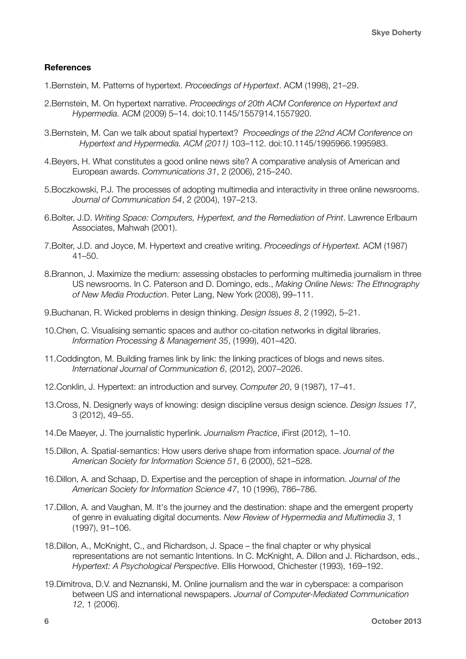#### **References**

- 1.Bernstein, M. Patterns of hypertext. *Proceedings of Hypertext*. ACM (1998), 21–29.
- 2.Bernstein, M. On hypertext narrative. *Proceedings of 20th ACM Conference on Hypertext and Hypermedia.* ACM (2009) 5–14. doi:10.1145/1557914.1557920.
- 3.Bernstein, M. Can we talk about spatial hypertext? *Proceedings of the 22nd ACM Conference on Hypertext and Hypermedia. ACM (2011)* 103–112. doi:10.1145/1995966.1995983.
- 4.Beyers, H. What constitutes a good online news site? A comparative analysis of American and European awards. *Communications 31*, 2 (2006), 215–240.
- 5.Boczkowski, P.J. The processes of adopting multimedia and interactivity in three online newsrooms. *Journal of Communication 54*, 2 (2004), 197–213.
- 6.Bolter, J.D. *Writing Space: Computers, Hypertext, and the Remediation of Print*. Lawrence Erlbaum Associates, Mahwah (2001).
- 7.Bolter, J.D. and Joyce, M. Hypertext and creative writing. *Proceedings of Hypertext.* ACM (1987) 41–50.
- 8.Brannon, J. Maximize the medium: assessing obstacles to performing multimedia journalism in three US newsrooms. In C. Paterson and D. Domingo, eds., *Making Online News: The Ethnography of New Media Production*. Peter Lang, New York (2008), 99–111.
- 9.Buchanan, R. Wicked problems in design thinking. *Design Issues 8*, 2 (1992), 5–21.
- 10.Chen, C. Visualising semantic spaces and author co-citation networks in digital libraries. *Information Processing & Management 35*, (1999), 401–420.
- 11.Coddington, M. Building frames link by link: the linking practices of blogs and news sites. *International Journal of Communication 6*, (2012), 2007–2026.
- 12.Conklin, J. Hypertext: an introduction and survey. *Computer 20*, 9 (1987), 17–41.
- 13.Cross, N. Designerly ways of knowing: design discipline versus design science. *Design Issues 17*, 3 (2012), 49–55.
- 14.De Maeyer, J. The journalistic hyperlink. *Journalism Practice*, iFirst (2012), 1–10.
- 15.Dillon, A. Spatial‐semantics: How users derive shape from information space. *Journal of the American Society for Information Science 51*, 6 (2000), 521–528.
- 16.Dillon, A. and Schaap, D. Expertise and the perception of shape in information. *Journal of the American Society for Information Science 47*, 10 (1996), 786–786.
- 17.Dillon, A. and Vaughan, M. It's the journey and the destination: shape and the emergent property of genre in evaluating digital documents. *New Review of Hypermedia and Multimedia 3*, 1 (1997), 91–106.
- 18.Dillon, A., McKnight, C., and Richardson, J. Space the final chapter or why physical representations are not semantic Intentions. In C. McKnight, A. Dillon and J. Richardson, eds., *Hypertext: A Psychological Perspective*. Ellis Horwood, Chichester (1993), 169–192.
- 19.Dimitrova, D.V. and Neznanski, M. Online journalism and the war in cyberspace: a comparison between US and international newspapers. *Journal of Computer-Mediated Communication 12*, 1 (2006).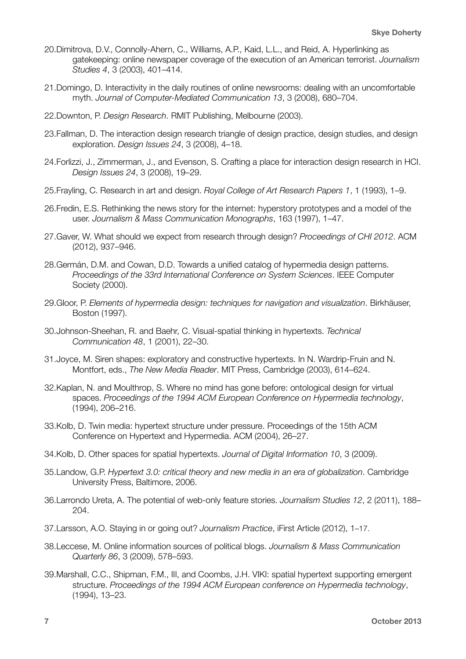- 20.Dimitrova, D.V., Connolly-Ahern, C., Williams, A.P., Kaid, L.L., and Reid, A. Hyperlinking as gatekeeping: online newspaper coverage of the execution of an American terrorist. *Journalism Studies 4*, 3 (2003), 401–414.
- 21.Domingo, D. Interactivity in the daily routines of online newsrooms: dealing with an uncomfortable myth. *Journal of Computer-Mediated Communication 13*, 3 (2008), 680–704.
- 22.Downton, P. *Design Research*. RMIT Publishing, Melbourne (2003).
- 23.Fallman, D. The interaction design research triangle of design practice, design studies, and design exploration. *Design Issues 24*, 3 (2008), 4–18.
- 24.Forlizzi, J., Zimmerman, J., and Evenson, S. Crafting a place for interaction design research in HCI. *Design Issues 24*, 3 (2008), 19–29.
- 25.Frayling, C. Research in art and design. *Royal College of Art Research Papers 1*, 1 (1993), 1–9.
- 26.Fredin, E.S. Rethinking the news story for the internet: hyperstory prototypes and a model of the user. *Journalism & Mass Communication Monographs*, 163 (1997), 1–47.
- 27.Gaver, W. What should we expect from research through design? *Proceedings of CHI 2012*. ACM (2012), 937–946.
- 28.Germán, D.M. and Cowan, D.D. Towards a unified catalog of hypermedia design patterns. *Proceedings of the 33rd International Conference on System Sciences*. IEEE Computer Society (2000).
- 29.Gloor, P. *Elements of hypermedia design: techniques for navigation and visualization*. Birkhäuser, Boston (1997).
- 30.Johnson-Sheehan, R. and Baehr, C. Visual-spatial thinking in hypertexts. *Technical Communication 48*, 1 (2001), 22–30.
- 31.Joyce, M. Siren shapes: exploratory and constructive hypertexts. In N. Wardrip-Fruin and N. Montfort, eds., *The New Media Reader*. MIT Press, Cambridge (2003), 614–624.
- 32.Kaplan, N. and Moulthrop, S. Where no mind has gone before: ontological design for virtual spaces. *Proceedings of the 1994 ACM European Conference on Hypermedia technology*, (1994), 206–216.
- 33.Kolb, D. Twin media: hypertext structure under pressure. Proceedings of the 15th ACM Conference on Hypertext and Hypermedia. ACM (2004), 26–27.
- 34.Kolb, D. Other spaces for spatial hypertexts. *Journal of Digital Information 10*, 3 (2009).
- 35.Landow, G.P. *Hypertext 3.0: critical theory and new media in an era of globalization*. Cambridge University Press, Baltimore, 2006.
- 36.Larrondo Ureta, A. The potential of web-only feature stories. *Journalism Studies 12*, 2 (2011), 188– 204.
- 37.Larsson, A.O. Staying in or going out? *Journalism Practice*, iFirst Article (2012), 1–17.
- 38.Leccese, M. Online information sources of political blogs. *Journalism & Mass Communication Quarterly 86*, 3 (2009), 578–593.
- 39.Marshall, C.C., Shipman, F.M., III, and Coombs, J.H. VIKI: spatial hypertext supporting emergent structure. *Proceedings of the 1994 ACM European conference on Hypermedia technology*, (1994), 13–23.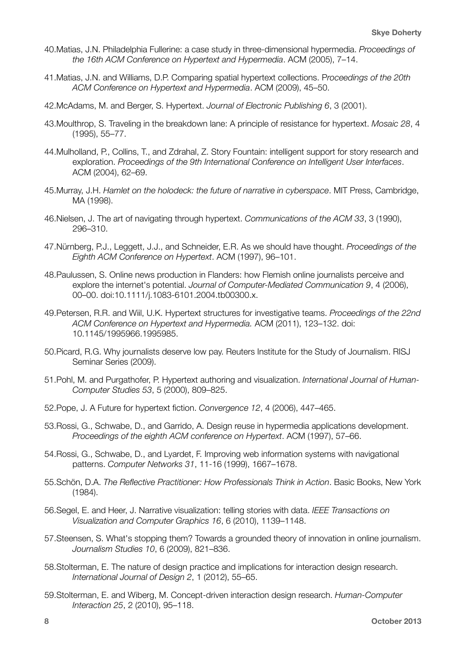- 40.Matias, J.N. Philadelphia Fullerine: a case study in three-dimensional hypermedia. *Proceedings of the 16th ACM Conference on Hypertext and Hypermedia*. ACM (2005), 7–14.
- 41.Matias, J.N. and Williams, D.P. Comparing spatial hypertext collections. P*roceedings of the 20th ACM Conference on Hypertext and Hypermedia*. ACM (2009), 45–50.
- 42.McAdams, M. and Berger, S. Hypertext. *Journal of Electronic Publishing 6*, 3 (2001).
- 43.Moulthrop, S. Traveling in the breakdown lane: A principle of resistance for hypertext. *Mosaic 28*, 4 (1995), 55–77.
- 44.Mulholland, P., Collins, T., and Zdrahal, Z. Story Fountain: intelligent support for story research and exploration. *Proceedings of the 9th International Conference on Intelligent User Interfaces*. ACM (2004), 62–69.
- 45.Murray, J.H. *Hamlet on the holodeck: the future of narrative in cyberspace*. MIT Press, Cambridge, MA (1998).
- 46.Nielsen, J. The art of navigating through hypertext. *Communications of the ACM 33*, 3 (1990), 296–310.
- 47.Nürnberg, P.J., Leggett, J.J., and Schneider, E.R. As we should have thought. *Proceedings of the Eighth ACM Conference on Hypertext*. ACM (1997), 96–101.
- 48.Paulussen, S. Online news production in Flanders: how Flemish online journalists perceive and explore the internet's potential. *Journal of Computer-Mediated Communication 9*, 4 (2006), 00–00. doi:10.1111/j.1083-6101.2004.tb00300.x.
- 49.Petersen, R.R. and Wiil, U.K. Hypertext structures for investigative teams. *Proceedings of the 22nd ACM Conference on Hypertext and Hypermedia.* ACM (2011), 123–132. doi: 10.1145/1995966.1995985.
- 50.Picard, R.G. Why journalists deserve low pay. Reuters Institute for the Study of Journalism. RISJ Seminar Series (2009).
- 51.Pohl, M. and Purgathofer, P. Hypertext authoring and visualization. *International Journal of Human-Computer Studies 53*, 5 (2000), 809–825.
- 52.Pope, J. A Future for hypertext fiction. *Convergence 12*, 4 (2006), 447–465.
- 53.Rossi, G., Schwabe, D., and Garrido, A. Design reuse in hypermedia applications development. *Proceedings of the eighth ACM conference on Hypertext*. ACM (1997), 57–66.
- 54.Rossi, G., Schwabe, D., and Lyardet, F. Improving web information systems with navigational patterns. *Computer Networks 31*, 11-16 (1999), 1667–1678.
- 55.Schön, D.A. *The Reflective Practitioner: How Professionals Think in Action*. Basic Books, New York (1984).
- 56.Segel, E. and Heer, J. Narrative visualization: telling stories with data. *IEEE Transactions on Visualization and Computer Graphics 16*, 6 (2010), 1139–1148.
- 57.Steensen, S. What's stopping them? Towards a grounded theory of innovation in online journalism. *Journalism Studies 10*, 6 (2009), 821–836.
- 58.Stolterman, E. The nature of design practice and implications for interaction design research. *International Journal of Design 2*, 1 (2012), 55–65.
- 59.Stolterman, E. and Wiberg, M. Concept-driven interaction design research. *Human-Computer Interaction 25*, 2 (2010), 95–118.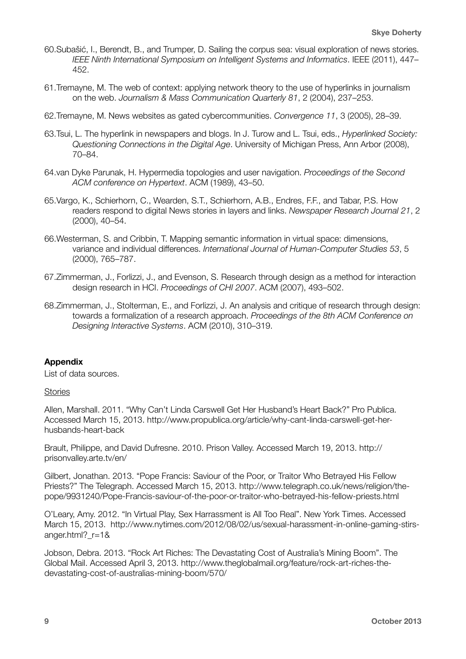- 60.Subašić, I., Berendt, B., and Trumper, D. Sailing the corpus sea: visual exploration of news stories. *IEEE Ninth International Symposium on Intelligent Systems and Informatics*. IEEE (2011), 447– 452.
- 61.Tremayne, M. The web of context: applying network theory to the use of hyperlinks in journalism on the web. *Journalism & Mass Communication Quarterly 81*, 2 (2004), 237–253.
- 62.Tremayne, M. News websites as gated cybercommunities. *Convergence 11*, 3 (2005), 28–39.
- 63.Tsui, L. The hyperlink in newspapers and blogs. In J. Turow and L. Tsui, eds., *Hyperlinked Society: Questioning Connections in the Digital Age*. University of Michigan Press, Ann Arbor (2008), 70–84.
- 64.van Dyke Parunak, H. Hypermedia topologies and user navigation. *Proceedings of the Second ACM conference on Hypertext*. ACM (1989), 43–50.
- 65.Vargo, K., Schierhorn, C., Wearden, S.T., Schierhorn, A.B., Endres, F.F., and Tabar, P.S. How readers respond to digital News stories in layers and links. *Newspaper Research Journal 21*, 2 (2000), 40–54.
- 66.Westerman, S. and Cribbin, T. Mapping semantic information in virtual space: dimensions, variance and individual differences. *International Journal of Human-Computer Studies 53*, 5 (2000), 765–787.
- 67.Zimmerman, J., Forlizzi, J., and Evenson, S. Research through design as a method for interaction design research in HCI. *Proceedings of CHI 2007*. ACM (2007), 493–502.
- 68.Zimmerman, J., Stolterman, E., and Forlizzi, J. An analysis and critique of research through design: towards a formalization of a research approach. *Proceedings of the 8th ACM Conference on Designing Interactive Systems*. ACM (2010), 310–319.

#### **Appendix**

List of data sources.

#### **Stories**

Allen, Marshall. 2011. "Why Can't Linda Carswell Get Her Husband's Heart Back?" Pro Publica. Accessed March 15, 2013. http://www.propublica.org/article/why-cant-linda-carswell-get-herhusbands-heart-back

Brault, Philippe, and David Dufresne. 2010. Prison Valley. Accessed March 19, 2013. http:// prisonvalley.arte.tv/en/

Gilbert, Jonathan. 2013. "Pope Francis: Saviour of the Poor, or Traitor Who Betrayed His Fellow Priests?" The Telegraph. Accessed March 15, 2013. http://www.telegraph.co.uk/news/religion/thepope/9931240/Pope-Francis-saviour-of-the-poor-or-traitor-who-betrayed-his-fellow-priests.html

O'Leary, Amy. 2012. "In Virtual Play, Sex Harrassment is All Too Real". New York Times. Accessed March 15, 2013. http://www.nytimes.com/2012/08/02/us/sexual-harassment-in-online-gaming-stirsanger.html? r=1&

Jobson, Debra. 2013. "Rock Art Riches: The Devastating Cost of Australia's Mining Boom". The Global Mail. Accessed April 3, 2013. http://www.theglobalmail.org/feature/rock-art-riches-thedevastating-cost-of-australias-mining-boom/570/